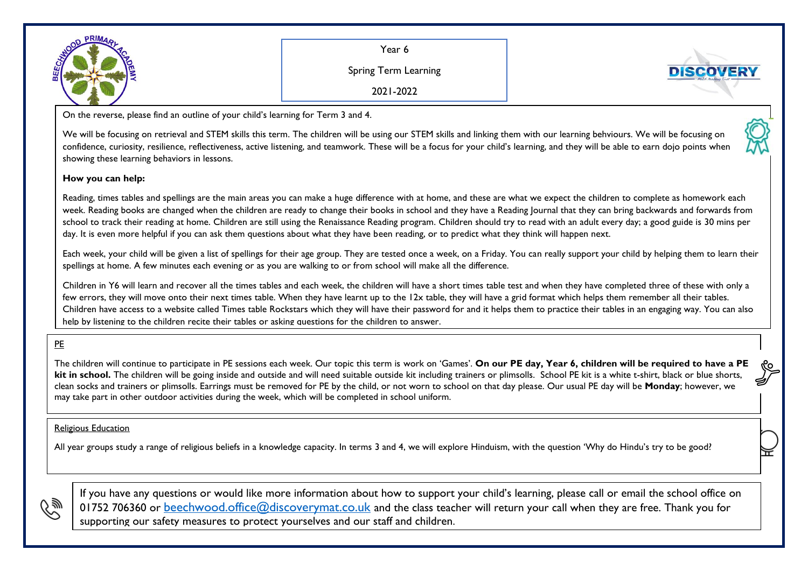

Year 6

Spring Term Learning



2021-2022

On the reverse, please find an outline of your child's learning for Term 3 and 4.

We will be focusing on retrieval and STEM skills this term. The children will be using our STEM skills and linking them with our learning behviours. We will be focusing on confidence, curiosity, resilience, reflectiveness, active listening, and teamwork. These will be a focus for your child's learning, and they will be able to earn dojo points when showing these learning behaviors in lessons.

## **How you can help:**

Reading, times tables and spellings are the main areas you can make a huge difference with at home, and these are what we expect the children to complete as homework each week. Reading books are changed when the children are ready to change their books in school and they have a Reading Journal that they can bring backwards and forwards from school to track their reading at home. Children are still using the Renaissance Reading program. Children should try to read with an adult every day; a good guide is 30 mins per day. It is even more helpful if you can ask them questions about what they have been reading, or to predict what they think will happen next.

Each week, your child will be given a list of spellings for their age group. They are tested once a week, on a Friday. You can really support your child by helping them to learn their spellings at home. A few minutes each evening or as you are walking to or from school will make all the difference.

Children in Y6 will learn and recover all the times tables and each week, the children will have a short times table test and when they have completed three of these with only a few errors, they will move onto their next times table. When they have learnt up to the 12x table, they will have a grid format which helps them remember all their tables. Children have access to a website called Times table Rockstars which they will have their password for and it helps them to practice their tables in an engaging way. You can also help by listening to the children recite their tables or asking questions for the children to answer.

## PE

The children will continue to participate in PE sessions each week. Our topic this term is work on 'Games'. **On our PE day, Year 6, children will be required to have a PE**  kit in school. The children will be going inside and outside and will need suitable outside kit including trainers or plimsolls. School PE kit is a white t-shirt, black or blue shorts, clean socks and trainers or plimsolls. Earrings must be removed for PE by the child, or not worn to school on that day please. Our usual PE day will be **Monday**; however, we may take part in other outdoor activities during the week, which will be completed in school uniform.

## Religious Education

All year groups study a range of religious beliefs in a knowledge capacity. In terms 3 and 4, we will explore Hinduism, with the question 'Why do Hindu's try to be good?



If you have any questions or would like more information about how to support your child's learning, please call or email the school office on 01752 706360 or [beechwood.office@discoverymat.co.uk](mailto:beechwood.office@discoverymat.co.uk) and the class teacher will return your call when they are free. Thank you for supporting our safety measures to protect yourselves and our staff and children.